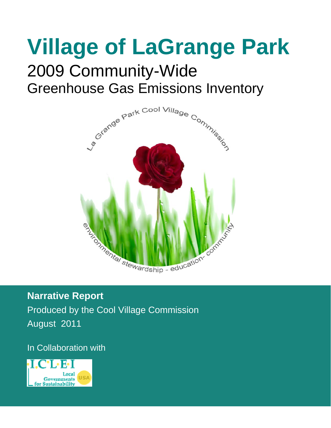# **Village of LaGrange Park**

# 2009 Community-Wide Greenhouse Gas Emissions Inventory



**Narrative Report**  Produced by the Cool Village Commission August 2011

In Collaboration with

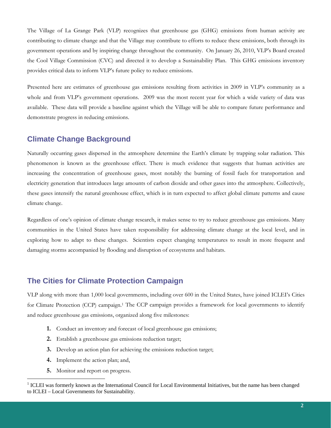The Village of La Grange Park (VLP) recognizes that greenhouse gas (GHG) emissions from human activity are contributing to climate change and that the Village may contribute to efforts to reduce these emissions, both through its government operations and by inspiring change throughout the community. On January 26, 2010, VLP's Board created the Cool Village Commission (CVC) and directed it to develop a Sustainability Plan. This GHG emissions inventory provides critical data to inform VLP's future policy to reduce emissions.

Presented here are estimates of greenhouse gas emissions resulting from activities in 2009 in VLP's community as a whole and from VLP's government operations. 2009 was the most recent year for which a wide variety of data was available. These data will provide a baseline against which the Village will be able to compare future performance and demonstrate progress in reducing emissions.

#### **Climate Change Background**

Naturally occurring gases dispersed in the atmosphere determine the Earth's climate by trapping solar radiation. This phenomenon is known as the greenhouse effect. There is much evidence that suggests that human activities are increasing the concentration of greenhouse gases, most notably the burning of fossil fuels for transportation and electricity generation that introduces large amounts of carbon dioxide and other gases into the atmosphere. Collectively, these gases intensify the natural greenhouse effect, which is in turn expected to affect global climate patterns and cause climate change.

Regardless of one's opinion of climate change research, it makes sense to try to reduce greenhouse gas emissions. Many communities in the United States have taken responsibility for addressing climate change at the local level, and in exploring how to adapt to these changes. Scientists expect changing temperatures to result in more frequent and damaging storms accompanied by flooding and disruption of ecosystems and habitats.

#### **The Cities for Climate Protection Campaign**

VLP along with more than 1,000 local governments, including over 600 in the United States, have joined ICLEI's Cities for Climate Protection (CCP) campaign.1 The CCP campaign provides a framework for local governments to identify and reduce greenhouse gas emissions, organized along five milestones:

- **1.** Conduct an inventory and forecast of local greenhouse gas emissions;
- **2.** Establish a greenhouse gas emissions reduction target;
- **3.** Develop an action plan for achieving the emissions reduction target;
- **4.** Implement the action plan; and,
- **5.** Monitor and report on progress.

 $\overline{a}$ 

<sup>&</sup>lt;sup>1</sup> ICLEI was formerly known as the International Council for Local Environmental Initiatives, but the name has been changed to ICLEI – Local Governments for Sustainability.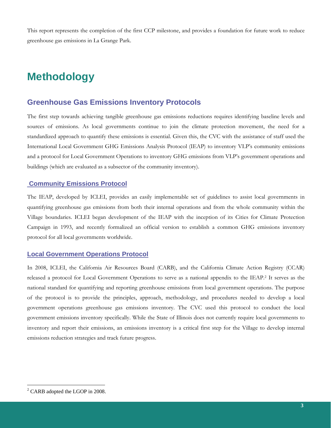This report represents the completion of the first CCP milestone, and provides a foundation for future work to reduce greenhouse gas emissions in La Grange Park.

# **Methodology**

#### **Greenhouse Gas Emissions Inventory Protocols**

The first step towards achieving tangible greenhouse gas emissions reductions requires identifying baseline levels and sources of emissions. As local governments continue to join the climate protection movement, the need for a standardized approach to quantify these emissions is essential. Given this, the CVC with the assistance of staff used the International Local Government GHG Emissions Analysis Protocol (IEAP) to inventory VLP's community emissions and a protocol for Local Government Operations to inventory GHG emissions from VLP's government operations and buildings (which are evaluated as a subsector of the community inventory).

#### **Community Emissions Protocol**

The IEAP, developed by ICLEI, provides an easily implementable set of guidelines to assist local governments in quantifying greenhouse gas emissions from both their internal operations and from the whole community within the Village boundaries. ICLEI began development of the IEAP with the inception of its Cities for Climate Protection Campaign in 1993, and recently formalized an official version to establish a common GHG emissions inventory protocol for all local governments worldwide.

#### **Local Government Operations Protocol**

In 2008, ICLEI, the California Air Resources Board (CARB), and the California Climate Action Registry (CCAR) released a protocol for Local Government Operations to serve as a national appendix to the IEAP.2 It serves as the national standard for quantifying and reporting greenhouse emissions from local government operations. The purpose of the protocol is to provide the principles, approach, methodology, and procedures needed to develop a local government operations greenhouse gas emissions inventory. The CVC used this protocol to conduct the local government emissions inventory specifically. While the State of Illinois does not currently require local governments to inventory and report their emissions, an emissions inventory is a critical first step for the Village to develop internal emissions reduction strategies and track future progress.

 $\overline{a}$ 

<sup>&</sup>lt;sup>2</sup> CARB adopted the LGOP in 2008.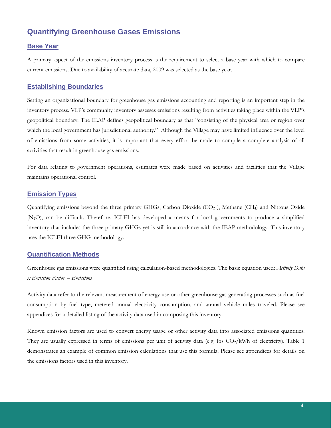#### **Quantifying Greenhouse Gases Emissions**

#### **Base Year**

A primary aspect of the emissions inventory process is the requirement to select a base year with which to compare current emissions. Due to availability of accurate data, 2009 was selected as the base year.

#### **Establishing Boundaries**

Setting an organizational boundary for greenhouse gas emissions accounting and reporting is an important step in the inventory process. VLP's community inventory assesses emissions resulting from activities taking place within the VLP's geopolitical boundary. The IEAP defines geopolitical boundary as that "consisting of the physical area or region over which the local government has jurisdictional authority." Although the Village may have limited influence over the level of emissions from some activities, it is important that every effort be made to compile a complete analysis of all activities that result in greenhouse gas emissions.

For data relating to government operations, estimates were made based on activities and facilities that the Village maintains operational control.

#### **Emission Types**

Quantifying emissions beyond the three primary GHGs, Carbon Dioxide  $(CO<sub>2</sub>)$ , Methane  $(CH<sub>4</sub>)$  and Nitrous Oxide (N2O), can be difficult. Therefore, ICLEI has developed a means for local governments to produce a simplified inventory that includes the three primary GHGs yet is still in accordance with the IEAP methodology. This inventory uses the ICLEI three GHG methodology.

#### **Quantification Methods**

Greenhouse gas emissions were quantified using calculation-based methodologies. The basic equation used: *Activity Data x Emission Factor = Emissions*

Activity data refer to the relevant measurement of energy use or other greenhouse gas-generating processes such as fuel consumption by fuel type, metered annual electricity consumption, and annual vehicle miles traveled. Please see appendices for a detailed listing of the activity data used in composing this inventory.

Known emission factors are used to convert energy usage or other activity data into associated emissions quantities. They are usually expressed in terms of emissions per unit of activity data (e.g. lbs  $CO_2/kWh$  of electricity). Table 1 demonstrates an example of common emission calculations that use this formula. Please see appendices for details on the emissions factors used in this inventory.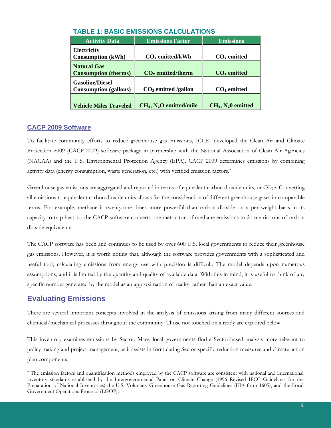| <b>Activity Data</b>                                   | <b>Emissions Factor</b> | <b>Emissions</b>        |
|--------------------------------------------------------|-------------------------|-------------------------|
| <b>Electricity</b><br><b>Consumption (kWh)</b>         | $CO2$ emitted/kWh       | $CO2$ emitted           |
| <b>Natural Gas</b><br><b>Consumption (therms)</b>      | $CO2$ emitted/therm     | CO <sub>2</sub> emitted |
| <b>Gasoline/Diesel</b><br><b>Consumption</b> (gallons) | $CO2$ emitted /gallon   | $CO2$ emitted           |
| <b>Vehicle Miles Traveled</b>                          | $CH4, N2O$ emitted/mile | $CH4, N20$ emitted      |

#### **TABLE 1: BASIC EMISSIONS CALCULATIONS**

#### **CACP 2009 Software**

To facilitate community efforts to reduce greenhouse gas emissions, ICLEI developed the Clean Air and Climate Protection 2009 (CACP 2009) software package in partnership with the National Association of Clean Air Agencies (NACAA) and the U.S. Environmental Protection Agency (EPA). CACP 2009 determines emissions by combining activity data (energy consumption, waste generation, etc.) with verified emission factors.2

Greenhouse gas emissions are aggregated and reported in terms of equivalent carbon dioxide units, or CO<sub>2</sub>e. Converting all emissions to equivalent carbon dioxide units allows for the consideration of different greenhouse gases in comparable terms. For example, methane is twenty-one times more powerful than carbon dioxide on a per weight basis in its capacity to trap heat, so the CACP software converts one metric ton of methane emissions to 21 metric tons of carbon dioxide equivalents.

The CACP software has been and continues to be used by over 600 U.S. local governments to reduce their greenhouse gas emissions. However, it is worth noting that, although the software provides governments with a sophisticated and useful tool, calculating emissions from energy use with precision is difficult. The model depends upon numerous assumptions, and it is limited by the quantity and quality of available data. With this in mind, it is useful to think of any specific number generated by the model as an approximation of reality, rather than an exact value.

#### **Evaluating Emissions**

 $\overline{a}$ 

There are several important concepts involved in the analysis of emissions arising from many different sources and chemical/mechanical processes throughout the community. Those not touched on already are explored below.

This inventory examines emissions by Sector. Many local governments find a Sector-based analysis more relevant to policy making and project management, as it assists in formulating Sector-specific reduction measures and climate action plan components.

<sup>&</sup>lt;sup>2</sup> The emission factors and quantification methods employed by the CACP software are consistent with national and international inventory standards established by the Intergovernmental Panel on Climate Change (1996 Revised IPCC Guidelines for the Preparation of National Inventories) the U.S. Voluntary Greenhouse Gas Reporting Guidelines (EIA form 1605), and the Local Government Operations Protocol (LGOP).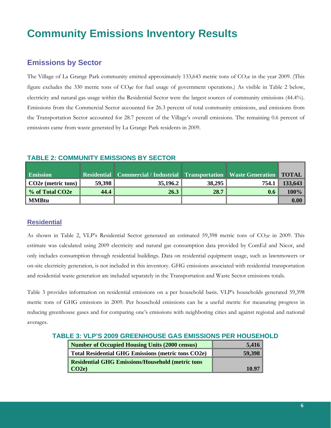# **Community Emissions Inventory Results**

#### **Emissions by Sector**

The Village of La Grange Park community emitted approximately 133,643 metric tons of  $CO<sub>2</sub>e$  in the year 2009. (This figure excludes the 330 metric tons of  $CO<sub>2</sub>e$  for fuel usage of government operations.) As visible in Table 2 below, electricity and natural gas usage within the Residential Sector were the largest sources of community emissions (44.4%). Emissions from the Commercial Sector accounted for 26.3 percent of total community emissions, and emissions from the Transportation Sector accounted for 28.7 percent of the Village's overall emissions. The remaining 0.6 percent of emissions came from waste generated by La Grange Park residents in 2009.

| <b>Emission</b>                 |        | Residential Commercial / Industrial Transportation   Waste Generation   TOTAL |        |       |         |
|---------------------------------|--------|-------------------------------------------------------------------------------|--------|-------|---------|
|                                 |        |                                                                               |        |       |         |
| CO <sub>2</sub> e (metric tons) | 59,398 | 35,196.2                                                                      | 38,295 | 754.1 | 133,643 |
| % of Total CO2e                 | 44.4   | 26.3                                                                          | 28.7   | 0.6   | 100%    |
| MMBtu                           |        |                                                                               |        |       | 0.00    |

#### **TABLE 2: COMMUNITY EMISSIONS BY SECTOR**

#### **Residential**

As shown in Table 2, VLP's Residential Sector generated an estimated 59,398 metric tons of CO<sub>2</sub>e in 2009. This estimate was calculated using 2009 electricity and natural gas consumption data provided by ComEd and Nicor, and only includes consumption through residential buildings. Data on residential equipment usage, such as lawnmowers or on-site electricity generation, is not included in this inventory. GHG emissions associated with residential transportation and residential waste generation are included separately in the Transportation and Waste Sector emissions totals.

Table 3 provides information on residential emissions on a per household basis. VLP's households generated 59,398 metric tons of GHG emissions in 2009. Per household emissions can be a useful metric for measuring progress in reducing greenhouse gases and for comparing one's emissions with neighboring cities and against regional and national averages.

| <b>Number of Occupied Housing Units (2000 census)</b>     | 5,416  |
|-----------------------------------------------------------|--------|
| <b>Total Residential GHG Emissions (metric tons CO2e)</b> | 59,398 |
| <b>Residential GHG Emissions/Household (metric tons</b>   |        |
| $\parallel$ CO2e)                                         | 10.97  |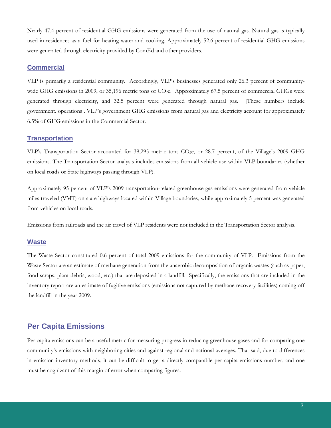Nearly 47.4 percent of residential GHG emissions were generated from the use of natural gas. Natural gas is typically used in residences as a fuel for heating water and cooking. Approximately 52.6 percent of residential GHG emissions were generated through electricity provided by ComEd and other providers.

#### **Commercial**

VLP is primarily a residential community. Accordingly, VLP's businesses generated only 26.3 percent of communitywide GHG emissions in 2009, or 35,196 metric tons of CO<sub>2</sub>e. Approximately 67.5 percent of commercial GHGs were generated through electricity, and 32.5 percent were generated through natural gas. [These numbers include government. operations]. VLP's government GHG emissions from natural gas and electricity account for approximately 6.5% of GHG emissions in the Commercial Sector.

#### **Transportation**

VLP's Transportation Sector accounted for 38,295 metric tons CO2e, or 28.7 percent, of the Village's 2009 GHG emissions. The Transportation Sector analysis includes emissions from all vehicle use within VLP boundaries (whether on local roads or State highways passing through VLP).

Approximately 95 percent of VLP's 2009 transportation-related greenhouse gas emissions were generated from vehicle miles traveled (VMT) on state highways located within Village boundaries, while approximately 5 percent was generated from vehicles on local roads.

Emissions from railroads and the air travel of VLP residents were not included in the Transportation Sector analysis.

#### **Waste**

The Waste Sector constituted 0.6 percent of total 2009 emissions for the community of VLP. Emissions from the Waste Sector are an estimate of methane generation from the anaerobic decomposition of organic wastes (such as paper, food scraps, plant debris, wood, etc.) that are deposited in a landfill. Specifically, the emissions that are included in the inventory report are an estimate of fugitive emissions (emissions not captured by methane recovery facilities) coming off the landfill in the year 2009.

#### **Per Capita Emissions**

Per capita emissions can be a useful metric for measuring progress in reducing greenhouse gases and for comparing one community's emissions with neighboring cities and against regional and national averages. That said, due to differences in emission inventory methods, it can be difficult to get a directly comparable per capita emissions number, and one must be cognizant of this margin of error when comparing figures.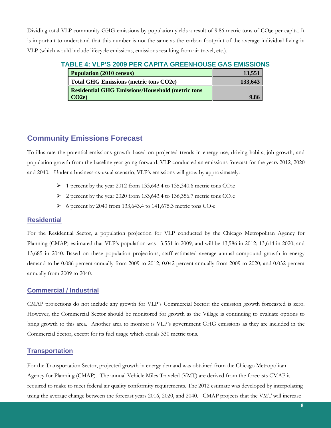Dividing total VLP community GHG emissions by population yields a result of 9.86 metric tons of CO<sub>2</sub>e per capita. It is important to understand that this number is not the same as the carbon footprint of the average individual living in VLP (which would include lifecycle emissions, emissions resulting from air travel, etc.).

| Population (2010 census)                                | 13,551  |
|---------------------------------------------------------|---------|
| Total GHG Emissions (metric tons CO2e)                  | 133,643 |
| <b>Residential GHG Emissions/Household (metric tons</b> |         |
| CO2e                                                    | 9.86    |

#### **TABLE 4: VLP'S 2009 PER CAPITA GREENHOUSE GAS EMISSIONS**

#### **Community Emissions Forecast**

To illustrate the potential emissions growth based on projected trends in energy use, driving habits, job growth, and population growth from the baseline year going forward, VLP conducted an emissions forecast for the years 2012, 2020 and 2040. Under a business-as-usual scenario, VLP's emissions will grow by approximately:

- $\geq 1$  percent by the year 2012 from 133,643.4 to 135,340.6 metric tons CO<sub>2</sub>e
- $\geq 2$  percent by the year 2020 from 133,643.4 to 136,356.7 metric tons CO<sub>2</sub>e
- $\triangleright$  6 percent by 2040 from 133,643.4 to 141,675.3 metric tons CO<sub>2</sub>e

#### **Residential**

For the Residential Sector, a population projection for VLP conducted by the Chicago Metropolitan Agency for Planning (CMAP) estimated that VLP's population was 13,551 in 2009, and will be 13,586 in 2012; 13,614 in 2020; and 13,685 in 2040. Based on these population projections, staff estimated average annual compound growth in energy demand to be 0.086 percent annually from 2009 to 2012; 0.042 percent annually from 2009 to 2020; and 0.032 percent annually from 2009 to 2040.

#### **Commercial / Industrial**

CMAP projections do not include any growth for VLP's Commercial Sector: the emission growth forecasted is zero. However, the Commercial Sector should be monitored for growth as the Village is continuing to evaluate options to bring growth to this area. Another area to monitor is VLP's government GHG emissions as they are included in the Commercial Sector, except for its fuel usage which equals 330 metric tons.

#### **Transportation**

For the Transportation Sector, projected growth in energy demand was obtained from the Chicago Metropolitan Agency for Planning (CMAP). The annual Vehicle Miles Traveled (VMT) are derived from the forecasts CMAP is required to make to meet federal air quality conformity requirements. The 2012 estimate was developed by interpolating using the average change between the forecast years 2016, 2020, and 2040. CMAP projects that the VMT will increase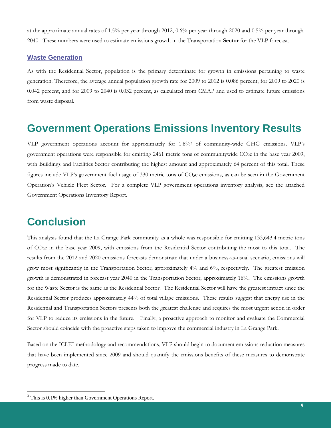at the approximate annual rates of 1.5% per year through 2012, 0.6% per year through 2020 and 0.5% per year through 2040. These numbers were used to estimate emissions growth in the Transportation **Sector** for the VLP forecast.

#### **Waste Generation**

As with the Residential Sector, population is the primary determinate for growth in emissions pertaining to waste generation. Therefore, the average annual population growth rate for 2009 to 2012 is 0.086 percent, for 2009 to 2020 is 0.042 percent, and for 2009 to 2040 is 0.032 percent, as calculated from CMAP and used to estimate future emissions from waste disposal.

### **Government Operations Emissions Inventory Results**

VLP government operations account for approximately for 1.8%3 of community-wide GHG emissions. VLP's government operations were responsible for emitting 2461 metric tons of communitywide  $CO<sub>2</sub>e$  in the base year 2009, with Buildings and Facilities Sector contributing the highest amount and approximately 64 percent of this total. These figures include VLP's government fuel usage of 330 metric tons of CO<sub>2</sub>e emissions, as can be seen in the Government Operation's Vehicle Fleet Sector. For a complete VLP government operations inventory analysis, see the attached Government Operations Inventory Report.

## **Conclusion**

 $\overline{a}$ 

This analysis found that the La Grange Park community as a whole was responsible for emitting 133,643.4 metric tons of CO2e in the base year 2009, with emissions from the Residential Sector contributing the most to this total. The results from the 2012 and 2020 emissions forecasts demonstrate that under a business-as-usual scenario, emissions will grow most significantly in the Transportation Sector, approximately 4% and 6%, respectively. The greatest emission growth is demonstrated in forecast year 2040 in the Transportation Sector, approximately 16%. The emissions growth for the Waste Sector is the same as the Residential Sector. The Residential Sector will have the greatest impact since the Residential Sector produces approximately 44% of total village emissions. These results suggest that energy use in the Residential and Transportation Sectors presents both the greatest challenge and requires the most urgent action in order for VLP to reduce its emissions in the future. Finally, a proactive approach to monitor and evaluate the Commercial Sector should coincide with the proactive steps taken to improve the commercial industry in La Grange Park.

Based on the ICLEI methodology and recommendations, VLP should begin to document emissions reduction measures that have been implemented since 2009 and should quantify the emissions benefits of these measures to demonstrate progress made to date.

<sup>&</sup>lt;sup>3</sup> This is 0.1% higher than Government Operations Report.